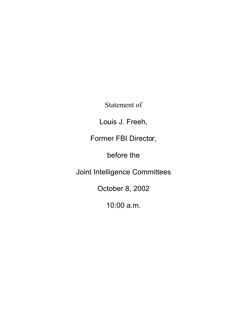Statement of

Louis J. Freeh,

Former FBI Director,

before the

Joint Intelligence Committees

October 8, 2002

10:00 a.m.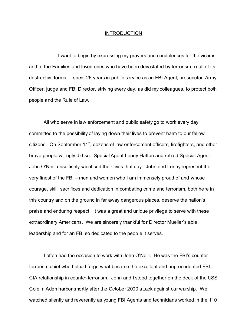#### INTRODUCTION

I want to begin by expressing my prayers and condolences for the victims, and to the Families and loved ones who have been devastated by terrorism, in all of its destructive forms. I spent 26 years in public service as an FBI Agent, prosecutor, Army Officer, judge and FBI Director, striving every day, as did my colleagues, to protect both people and the Rule of Law.

All who serve in law enforcement and public safety go to work every day committed to the possibility of laying down their lives to prevent harm to our fellow citizens. On September 11<sup>th</sup>, dozens of law enforcement officers, firefighters, and other brave people willingly did so. Special Agent Lenny Hatton and retired Special Agent John O'Neill unselfishly sacrificed their lives that day. John and Lenny represent the very finest of the FBI – men and women who I am immensely proud of and whose courage, skill, sacrifices and dedication in combating crime and terrorism, both here in this country and on the ground in far away dangerous places, deserve the nation's praise and enduring respect. It was a great and unique privilege to serve with these extraordinary Americans. We are sincerely thankful for Director Mueller's able leadership and for an FBI so dedicated to the people it serves.

I often had the occasion to work with John O'Neill. He was the FBI's counterterrorism chief who helped forge what became the excellent and unprecedented FBI-CIA relationship in counter-terrorism. John and I stood together on the deck of the USS Cole in Aden harbor shortly after the October 2000 attack against our warship. We watched silently and reverently as young FBI Agents and technicians worked in the 110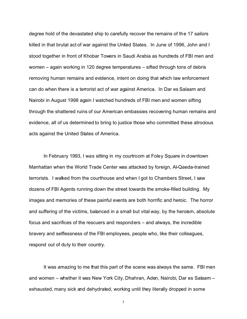degree hold of the devastated ship to carefully recover the remains of the 17 sailors killed in that brutal act of war against the United States. In June of 1996, John and I stood together in front of Khobar Towers in Saudi Arabia as hundreds of FBI men and women – again working in 120 degree temperatures – sifted through tons of debris removing human remains and evidence, intent on doing that which law enforcement can do when there is a terrorist act of war against America. In Dar es Salaam and Nairobi in August 1998 again I watched hundreds of FBI men and women sifting through the shattered ruins of our American embassies recovering human remains and evidence, all of us determined to bring to justice those who committed these atrocious acts against the United States of America.

In February 1993, I was sitting in my courtroom at Foley Square in downtown Manhattan when the World Trade Center was attacked by foreign, Al-Qaeda-trained terrorists. I walked from the courthouse and when I got to Chambers Street, I saw dozens of FBI Agents running down the street towards the smoke-filled building. My images and memories of these painful events are both horrific and heroic. The horror and suffering of the victims, balanced in a small but vital way, by the heroism, absolute focus and sacrifices of the rescuers and responders – and always, the incredible bravery and selflessness of the FBI employees, people who, like their colleagues, respond out of duty to their country.

It was amazing to me that this part of the scene was always the same. FBI men and women – whether it was New York City, Dhahran, Aden, Nairobi, Dar es Salaam – exhausted, many sick and dehydrated, working until they literally dropped in some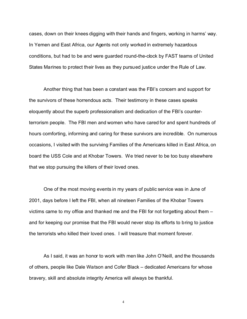cases, down on their knees digging with their hands and fingers, working in harms' way. In Yemen and East Africa, our Agents not only worked in extremely hazardous conditions, but had to be and were guarded round-the-clock by FAST teams of United States Marines to protect their lives as they pursued justice under the Rule of Law.

Another thing that has been a constant was the FBI's concern and support for the survivors of these horrendous acts. Their testimony in these cases speaks eloquently about the superb professionalism and dedication of the FBI's counterterrorism people. The FBI men and women who have cared for and spent hundreds of hours comforting, informing and caring for these survivors are incredible. On numerous occasions, I visited with the surviving Families of the Americans killed in East Africa, on board the USS Cole and at Khobar Towers. We tried never to be too busy elsewhere that we stop pursuing the killers of their loved ones.

One of the most moving events in my years of public service was in June of 2001, days before I left the FBI, when all nineteen Families of the Khobar Towers victims came to my office and thanked me and the FBI for not forgetting about them – and for keeping our promise that the FBI would never stop its efforts to bring to justice the terrorists who killed their loved ones. I will treasure that moment forever.

As I said, it was an honor to work with men like John O'Neill, and the thousands of others, people like Dale Watson and Cofer Black – dedicated Americans for whose bravery, skill and absolute integrity America will always be thankful.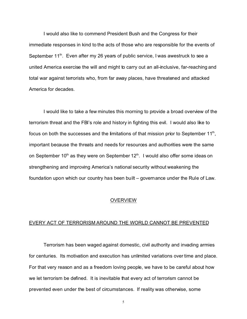I would also like to commend President Bush and the Congress for their immediate responses in kind to the acts of those who are responsible for the events of September  $11<sup>th</sup>$ . Even after my 26 years of public service, I was awestruck to see a united America exercise the will and might to carry out an all-inclusive, far-reaching and total war against terrorists who, from far away places, have threatened and attacked America for decades.

I would like to take a few minutes this morning to provide a broad overview of the terrorism threat and the FBI's role and history in fighting this evil. I would also like to focus on both the successes and the limitations of that mission prior to September 11<sup>th</sup>, important because the threats and needs for resources and authorities were the same on September 10<sup>th</sup> as they were on September  $12^{th}$ . I would also offer some ideas on strengthening and improving America's national security without weakening the foundation upon which our country has been built – governance under the Rule of Law.

#### **OVERVIEW**

#### EVERY ACT OF TERRORISM AROUND THE WORLD CANNOT BE PREVENTED

Terrorism has been waged against domestic, civil authority and invading armies for centuries. Its motivation and execution has unlimited variations over time and place. For that very reason and as a freedom loving people, we have to be careful about how we let terrorism be defined. It is inevitable that every act of terrorism cannot be prevented even under the best of circumstances. If reality was otherwise, some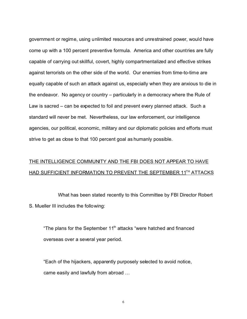government or regime, using unlimited resources and unrestrained power, would have come up with a 100 percent preventive formula. America and other countries are fully capable of carrying out skillful, covert, highly compartmentalized and effective strikes against terrorists on the other side of the world. Our enemies from time-to-time are equally capable of such an attack against us, especially when they are anxious to die in the endeavor. No agency or country – particularly in a democracy where the Rule of Law is sacred – can be expected to foil and prevent every planned attack. Such a standard will never be met. Nevertheless, our law enforcement, our intelligence agencies, our political, economic, military and our diplomatic policies and efforts must strive to get as close to that 100 percent goal as humanly possible.

### THE INTELLIGENCE COMMUNITY AND THE FBI DOES NOT APPEAR TO HAVE HAD SUFFICIENT INFORMATION TO PREVENT THE SEPTEMBER 11<sup>TH</sup> ATTACKS

What has been stated recently to this Committee by FBI Director Robert S. Mueller III includes the following:

"The plans for the September 11<sup>th</sup> attacks "were hatched and financed overseas over a several year period.

"Each of the hijackers, apparently purposely selected to avoid notice, came easily and lawfully from abroad …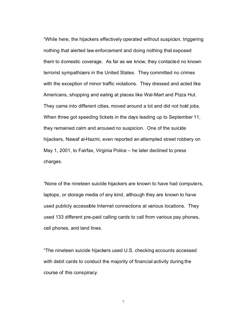"While here, the hijackers effectively operated without suspicion, triggering nothing that alerted law enforcement and doing nothing that exposed them to domestic coverage. As far as we know, they contacted no known terrorist sympathizers in the United States. They committed no crimes with the exception of minor traffic violations. They dressed and acted like Americans, shopping and eating at places like Wal-Mart and Pizza Hut. They came into different cities, moved around a lot and did not hold jobs. When three got speeding tickets in the days leading up to September 11, they remained calm and aroused no suspicion. One of the suicide hijackers, Nawaf al-Hazmi, even reported an attempted street robbery on May 1, 2001, to Fairfax, Virginia Police – he later declined to press charges.

"None of the nineteen suicide hijackers are known to have had computers, laptops, or storage media of any kind, although they are known to have used publicly accessible Internet connections at various locations. They used 133 different pre-paid calling cards to call from various pay phones, cell phones, and land lines.

"The nineteen suicide hijackers used U.S. checking accounts accessed with debit cards to conduct the majority of financial activity during the course of this conspiracy.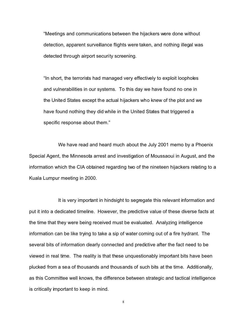"Meetings and communications between the hijackers were done without detection, apparent surveillance flights were taken, and nothing illegal was detected through airport security screening.

"In short, the terrorists had managed very effectively to exploit loopholes and vulnerabilities in our systems. To this day we have found no one in the United States except the actual hijackers who knew of the plot and we have found nothing they did while in the United States that triggered a specific response about them."

We have read and heard much about the July 2001 memo by a Phoenix Special Agent, the Minnesota arrest and investigation of Moussaoui in August, and the information which the CIA obtained regarding two of the nineteen hijackers relating to a Kuala Lumpur meeting in 2000.

It is very important in hindsight to segregate this relevant information and put it into a dedicated timeline. However, the predictive value of these diverse facts at the time that they were being received must be evaluated. Analyzing intelligence information can be like trying to take a sip of water coming out of a fire hydrant. The several bits of information dearly connected and predictive after the fact need to be viewed in real time. The reality is that these unquestionably important bits have been plucked from a sea of thousands and thousands of such bits at the time. Additionally, as this Committee well knows, the difference between strategic and tactical intelligence is critically important to keep in mind.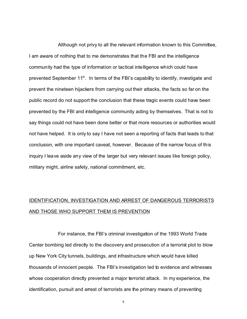Although not privy to all the relevant information known to this Committee, I am aware of nothing that to me demonstrates that the FBI and the intelligence community had the type of information or tactical intelligence which could have prevented September 11<sup>th</sup>. In terms of the FBI's capability to identify, investigate and prevent the nineteen hijackers from carrying out their attacks, the facts so far on the public record do not support the conclusion that these tragic events could have been prevented by the FBI and intelligence community acting by themselves. That is not to say things could not have been done better or that more resources or authorities would not have helped. It is only to say I have not seen a reporting of facts that leads to that conclusion, with one important caveat, however. Because of the narrow focus of this inquiry I leave aside any view of the larger but very relevant issues like foreign policy, military might, airline safety, national commitment, etc.

### IDENTIFICATION, INVESTIGATION AND ARREST OF DANGEROUS TERRORISTS AND THOSE WHO SUPPORT THEM IS PREVENTION

For instance, the FBI's criminal investigation of the 1993 World Trade Center bombing led directly to the discovery and prosecution of a terrorist plot to blow up New York City tunnels, buildings, and infrastructure which would have killed thousands of innocent people. The FBI's investigation led to evidence and witnesses whose cooperation directly prevented a major terrorist attack. In my experience, the identification, pursuit and arrest of terrorists are the primary means of preventing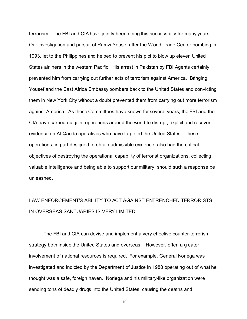terrorism. The FBI and CIA have jointly been doing this successfully for many years. Our investigation and pursuit of Ramzi Yousef after the World Trade Center bombing in 1993, let to the Philippines and helped to prevent his plot to blow up eleven United States airliners in the western Pacific. His arrest in Pakistan by FBI Agents certainly prevented him from carrying out further acts of terrorism against America. Bringing Yousef and the East Africa Embassy bombers back to the United States and convicting them in New York City without a doubt prevented them from carrying out more terrorism against America. As these Committees have known for several years, the FBI and the CIA have carried out joint operations around the world to disrupt, exploit and recover evidence on Al-Qaeda operatives who have targeted the United States. These operations, in part designed to obtain admissible evidence, also had the critical objectives of destroying the operational capability of terrorist organizations, collecting valuable intelligence and being able to support our military, should such a response be unleashed.

### LAW ENFORCEMENT'S ABILITY TO ACT AGAINST ENTRENCHED TERRORISTS IN OVERSEAS SANTUARIES IS VERY LIMITED

The FBI and CIA can devise and implement a very effective counter-terrorism strategy both inside the United States and overseas. However, often a greater involvement of national resources is required. For example, General Noriega was investigated and indicted by the Department of Justice in 1988 operating out of what he thought was a safe, foreign haven. Noriega and his military-like organization were sending tons of deadly drugs into the United States, causing the deaths and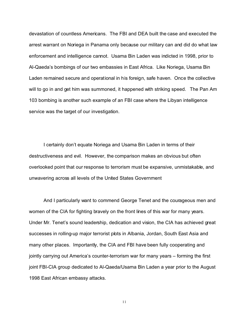devastation of countless Americans. The FBI and DEA built the case and executed the arrest warrant on Noriega in Panama only because our military can and did do what law enforcement and intelligence cannot. Usama Bin Laden was indicted in 1998, prior to Al-Qaeda's bombings of our two embassies in East Africa. Like Noriega, Usama Bin Laden remained secure and operational in his foreign, safe haven. Once the collective will to go in and get him was summoned, it happened with striking speed. The Pan Am 103 bombing is another such example of an FBI case where the Libyan intelligence service was the target of our investigation.

I certainly don't equate Noriega and Usama Bin Laden in terms of their destructiveness and evil. However, the comparison makes an obvious but often overlooked point that our response to terrorism must be expansive, unmistakable, and unwavering across all levels of the United States Government

And I particularly want to commend George Tenet and the courageous men and women of the CIA for fighting bravely on the front lines of this war for many years. Under Mr. Tenet's sound leadership, dedication and vision, the CIA has achieved great successes in rolling-up major terrorist plots in Albania, Jordan, South East Asia and many other places. Importantly, the CIA and FBI have been fully cooperating and jointly carrying out America's counter-terrorism war for many years – forming the first joint FBI-CIA group dedicated to Al-Qaeda/Usama Bin Laden a year prior to the August 1998 East African embassy attacks.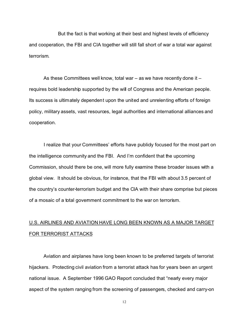But the fact is that working at their best and highest levels of efficiency and cooperation, the FBI and CIA together will still fall short of war a total war against terrorism.

As these Committees well know, total war – as we have recently done it – requires bold leadership supported by the will of Congress and the American people. Its success is ultimately dependent upon the united and unrelenting efforts of foreign policy, military assets, vast resources, legal authorities and international alliances and cooperation.

I realize that your Committees' efforts have publicly focused for the most part on the intelligence community and the FBI. And I'm confident that the upcoming Commission, should there be one, will more fully examine these broader issues with a global view. It should be obvious, for instance, that the FBI with about 3.5 percent of the country's counter-terrorism budget and the CIA with their share comprise but pieces of a mosaic of a total government commitment to the war on terrorism.

## U.S. AIRLINES AND AVIATION HAVE LONG BEEN KNOWN AS A MAJOR TARGET FOR TERRORIST ATTACKS

Aviation and airplanes have long been known to be preferred targets of terrorist hijackers. Protecting civil aviation from a terrorist attack has for years been an urgent national issue. A September 1996 GAO Report concluded that "nearly every major aspect of the system ranging from the screening of passengers, checked and carry-on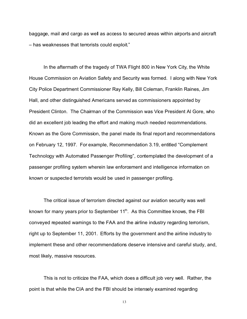baggage, mail and cargo as well as access to secured areas within airports and aircraft – has weaknesses that terrorists could exploit."

In the aftermath of the tragedy of TWA Flight 800 in New York City, the White House Commission on Aviation Safety and Security was formed. I along with New York City Police Department Commissioner Ray Kelly, Bill Coleman, Franklin Raines, Jim Hall, and other distinguished Americans served as commissioners appointed by President Clinton. The Chairman of the Commission was Vice President Al Gore, who did an excellent job leading the effort and making much needed recommendations. Known as the Gore Commission, the panel made its final report and recommendations on February 12, 1997. For example, Recommendation 3.19, entitled "Complement Technology with Automated Passenger Profiling", contemplated the development of a passenger profiling system wherein law enforcement and intelligence information on known or suspected terrorists would be used in passenger profiling.

The critical issue of terrorism directed against our aviation security was well known for many years prior to September 11<sup>th</sup>. As this Committee knows, the FBI conveyed repeated warnings to the FAA and the airline industry regarding terrorism, right up to September 11, 2001. Efforts by the government and the airline industry to implement these and other recommendations deserve intensive and careful study, and, most likely, massive resources.

This is not to criticize the FAA, which does a difficult job very well. Rather, the point is that while the CIA and the FBI should be intensely examined regarding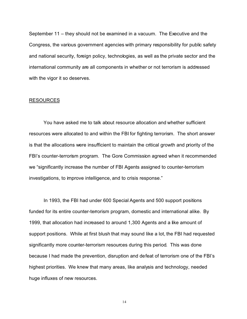September 11 – they should not be examined in a vacuum. The Executive and the Congress, the various government agencies with primary responsibility for public safety and national security, foreign policy, technologies, as well as the private sector and the international community are all components in whether or not terrorism is addressed with the vigor it so deserves.

#### RESOURCES

You have asked me to talk about resource allocation and whether sufficient resources were allocated to and within the FBI for fighting terrorism. The short answer is that the allocations were insufficient to maintain the critical growth and priority of the FBI's counter-terrorism program. The Gore Commission agreed when it recommended we "significantly increase the number of FBI Agents assigned to counter-terrorism investigations, to improve intelligence, and to crisis response."

In 1993, the FBI had under 600 Special Agents and 500 support positions funded for its entire counter-terrorism program, domestic and international alike. By 1999, that allocation had increased to around 1,300 Agents and a like amount of support positions. While at first blush that may sound like a lot, the FBI had requested significantly more counter-terrorism resources during this period. This was done because I had made the prevention, disruption and defeat of terrorism one of the FBI's highest priorities. We knew that many areas, like analysis and technology, needed huge influxes of new resources.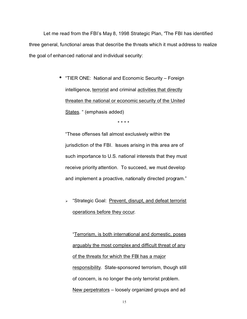Let me read from the FBI's May 8, 1998 Strategic Plan, "The FBI has identified three general, functional areas that describe the threats which it must address to realize the goal of enhanced national and individual security:

> • "TIER ONE: National and Economic Security – Foreign intelligence, terrorist and criminal activities that directly threaten the national or economic security of the United States. " (emphasis added)

> > \* \* \* \*

"These offenses fall almost exclusively within the jurisdiction of the FBI. Issues arising in this area are of such importance to U.S. national interests that they must receive priority attention. To succeed, we must develop and implement a proactive, nationally directed program."

 $\triangleright$  "Strategic Goal: Prevent, disrupt, and defeat terrorist operations before they occur.

"Terrorism, is both international and domestic, poses arguably the most complex and difficult threat of any of the threats for which the FBI has a major responsibility. State-sponsored terrorism, though still of concern, is no longer the only terrorist problem. New perpetrators – loosely organized groups and ad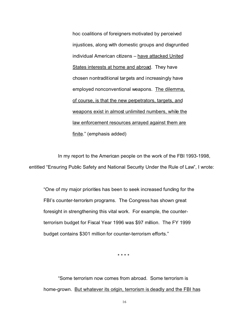hoc coalitions of foreigners motivated by perceived injustices, along with domestic groups and disgruntled individual American citizens – have attacked United States interests at home and abroad. They have chosen nontraditional targets and increasingly have employed nonconventional weapons. The dilemma, of course, is that the new perpetrators, targets, and weapons exist in almost unlimited numbers, while the law enforcement resources arrayed against them are finite." (emphasis added)

In my report to the American people on the work of the FBI 1993-1998, entitled "Ensuring Public Safety and National Security Under the Rule of Law", I wrote:

"One of my major priorities has been to seek increased funding for the FBI's counter-terrorism programs. The Congress has shown great foresight in strengthening this vital work. For example, the counterterrorism budget for Fiscal Year 1996 was \$97 million. The FY 1999 budget contains \$301 million for counter-terrorism efforts."

\* \* \* \*

"Some terrorism now comes from abroad. Some terrorism is home-grown. But whatever its origin, terrorism is deadly and the FBI has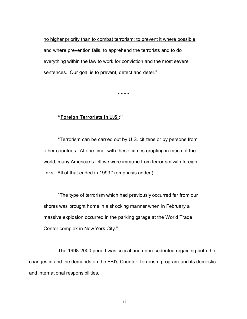no higher priority than to combat terrorism; to prevent it where possible; and where prevention fails, to apprehend the terrorists and to do everything within the law to work for conviction and the most severe sentences. Our goal is to prevent, detect and deter."

\* \* \* \*

#### **"Foreign Terrorists in U.S.:"**

"Terrorism can be carried out by U.S. citizens or by persons from other countries. At one time, with these crimes erupting in much of the world, many Americans felt we were immune from terrorism with foreign links. All of that ended in 1993." (emphasis added)

"The type of terrorism which had previously occurred far from our shores was brought home in a shocking manner when in February a massive explosion occurred in the parking garage at the World Trade Center complex in New York City."

The 1998-2000 period was critical and unprecedented regarding both the changes in and the demands on the FBI's Counter-Terrorism program and its domestic and international responsibilities.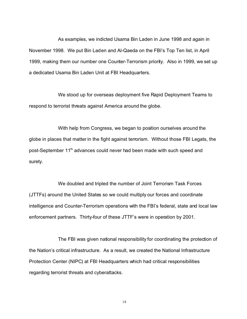As examples, we indicted Usama Bin Laden in June 1998 and again in November 1998. We put Bin Laden and Al-Qaeda on the FBI's Top Ten list, in April 1999, making them our number one Counter-Terrorism priority. Also in 1999, we set up a dedicated Usama Bin Laden Unit at FBI Headquarters.

We stood up for overseas deployment five Rapid Deployment Teams to respond to terrorist threats against America around the globe.

With help from Congress, we began to position ourselves around the globe in places that matter in the fight against terrorism. Without those FBI Legats, the post-September 11<sup>th</sup> advances could never had been made with such speed and surety.

We doubled and tripled the number of Joint Terrorism Task Forces (JTTFs) around the United States so we could multiply our forces and coordinate intelligence and Counter-Terrorism operations with the FBI's federal, state and local law enforcement partners. Thirty-four of these JTTF's were in operation by 2001.

The FBI was given national responsibility for coordinating the protection of the Nation's critical infrastructure. As a result, we created the National Infrastructure Protection Center (NIPC) at FBI Headquarters which had critical responsibilities regarding terrorist threats and cyberattacks.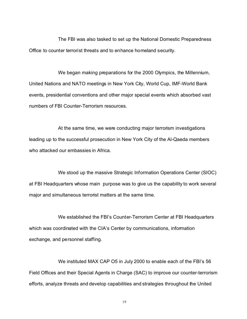The FBI was also tasked to set up the National Domestic Preparedness Office to counter terrorist threats and to enhance homeland security.

We began making preparations for the 2000 Olympics, the Millennium, United Nations and NATO meetings in New York City, World Cup, IMF-World Bank events, presidential conventions and other major special events which absorbed vast numbers of FBI Counter-Terrorism resources.

At the same time, we were conducting major terrorism investigations leading up to the successful prosecution in New York City of the Al-Qaeda members who attacked our embassies in Africa.

We stood up the massive Strategic Information Operations Center (SIOC) at FBI Headquarters whose main purpose was to give us the capability to work several major and simultaneous terrorist matters at the same time.

We established the FBI's Counter-Terrorism Center at FBI Headquarters which was coordinated with the CIA's Center by communications, information exchange, and personnel staffing.

We instituted MAX CAP O5 in July 2000 to enable each of the FBI's 56 Field Offices and their Special Agents in Charge (SAC) to improve our counter-terrorism efforts, analyze threats and develop capabilities and strategies throughout the United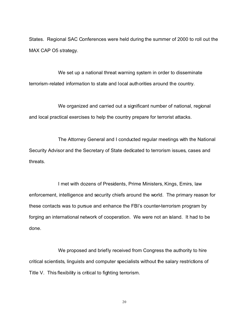States. Regional SAC Conferences were held during the summer of 2000 to roll out the MAX CAP O5 strategy.

We set up a national threat warning system in order to disseminate terrorism-related information to state and local authorities around the country.

We organized and carried out a significant number of national, regional and local practical exercises to help the country prepare for terrorist attacks.

The Attorney General and I conducted regular meetings with the National Security Advisor and the Secretary of State dedicated to terrorism issues, cases and threats.

I met with dozens of Presidents, Prime Ministers, Kings, Emirs, law enforcement, intelligence and security chiefs around the world. The primary reason for these contacts was to pursue and enhance the FBI's counter-terrorism program by forging an international network of cooperation. We were not an island. It had to be done.

We proposed and briefly received from Congress the authority to hire critical scientists, linguists and computer specialists without the salary restrictions of Title V. This flexibility is critical to fighting terrorism.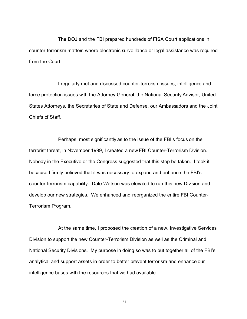The DOJ and the FBI prepared hundreds of FISA Court applications in counter-terrorism matters where electronic surveillance or legal assistance was required from the Court.

I regularly met and discussed counter-terrorism issues, intelligence and force protection issues with the Attorney General, the National Security Advisor, United States Attorneys, the Secretaries of State and Defense, our Ambassadors and the Joint Chiefs of Staff.

Perhaps, most significantly as to the issue of the FBI's focus on the terrorist threat, in November 1999, I created a new FBI Counter-Terrorism Division. Nobody in the Executive or the Congress suggested that this step be taken. I took it because I firmly believed that it was necessary to expand and enhance the FBI's counter-terrorism capability. Dale Watson was elevated to run this new Division and develop our new strategies. We enhanced and reorganized the entire FBI Counter-Terrorism Program.

At the same time, I proposed the creation of a new, Investigative Services Division to support the new Counter-Terrorism Division as well as the Criminal and National Security Divisions. My purpose in doing so was to put together all of the FBI's analytical and support assets in order to better prevent terrorism and enhance our intelligence bases with the resources that we had available.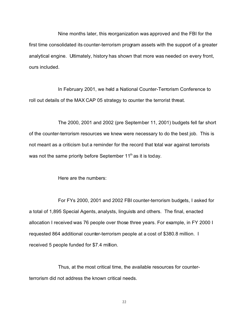Nine months later, this reorganization was approved and the FBI for the first time consolidated its counter-terrorism program assets with the support of a greater analytical engine. Ultimately, history has shown that more was needed on every front, ours included.

In February 2001, we held a National Counter-Terrorism Conference to roll out details of the MAX CAP 05 strategy to counter the terrorist threat.

The 2000, 2001 and 2002 (pre September 11, 2001) budgets fell far short of the counter-terrorism resources we knew were necessary to do the best job. This is not meant as a criticism but a reminder for the record that total war against terrorists was not the same priority before September  $11<sup>th</sup>$  as it is today.

Here are the numbers:

For FYs 2000, 2001 and 2002 FBI counter-terrorism budgets, I asked for a total of 1,895 Special Agents, analysts, linguists and others. The final, enacted allocation I received was 76 people over those three years. For example, in FY 2000 I requested 864 additional counter-terrorism people at a cost of \$380.8 million. I received 5 people funded for \$7.4 million.

Thus, at the most critical time, the available resources for counterterrorism did not address the known critical needs.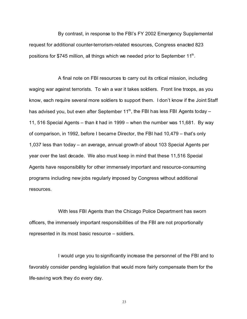By contrast, in response to the FBI's FY 2002 Emergency Supplemental request for additional counter-terrorism-related resources, Congress enacted 823 positions for \$745 million, all things which we needed prior to September 11<sup>th</sup>.

A final note on FBI resources to carry out its critical mission, including waging war against terrorists. To win a war it takes soldiers. Front line troops, as you know, each require several more soldiers to support them. I don't know if the Joint Staff has advised you, but even after September 11<sup>th</sup>, the FBI has less FBI Agents today  $-$ 11, 516 Special Agents – than it had in 1999 – when the number was 11,681. By way of comparison, in 1992, before I became Director, the FBI had 10,479 – that's only 1,037 less than today – an average, annual growth of about 103 Special Agents per year over the last decade. We also must keep in mind that these 11,516 Special Agents have responsibility for other immensely important and resource-consuming programs including new jobs regularly imposed by Congress without additional resources.

With less FBI Agents than the Chicago Police Department has sworn officers, the immensely important responsibilities of the FBI are not proportionally represented in its most basic resource – soldiers.

I would urge you to significantly increase the personnel of the FBI and to favorably consider pending legislation that would more fairly compensate them for the life-saving work they do every day.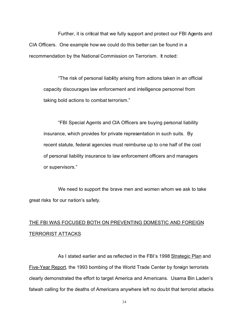Further, it is critical that we fully support and protect our FBI Agents and CIA Officers. One example how we could do this better can be found in a recommendation by the National Commission on Terrorism. It noted:

"The risk of personal liability arising from actions taken in an official capacity discourages law enforcement and intelligence personnel from taking bold actions to combat terrorism."

"FBI Special Agents and CIA Officers are buying personal liability insurance, which provides for private representation in such suits. By recent statute, federal agencies must reimburse up to one half of the cost of personal liability insurance to law enforcement officers and managers or supervisors."

We need to support the brave men and women whom we ask to take great risks for our nation's safety.

## THE FBI WAS FOCUSED BOTH ON PREVENTING DOMESTIC AND FOREIGN TERRORIST ATTACKS

As I stated earlier and as reflected in the FBI's 1998 Strategic Plan and Five-Year Report, the 1993 bombing of the World Trade Center by foreign terrorists clearly demonstrated the effort to target America and Americans. Usama Bin Laden's fatwah calling for the deaths of Americans anywhere left no doubt that terrorist attacks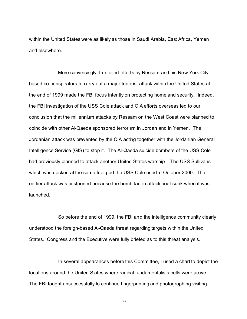within the United States were as likely as those in Saudi Arabia, East Africa, Yemen and elsewhere.

More convincingly, the failed efforts by Ressam and his New York Citybased co-conspirators to carry out a major terrorist attack within the United States at the end of 1999 made the FBI focus intently on protecting homeland security. Indeed, the FBI investigation of the USS Cole attack and CIA efforts overseas led to our conclusion that the millennium attacks by Ressam on the West Coast were planned to coincide with other Al-Qaeda sponsored terrorism in Jordan and in Yemen. The Jordanian attack was prevented by the CIA acting together with the Jordanian General Intelligence Service (GIS) to stop it. The Al-Qaeda suicide bombers of the USS Cole had previously planned to attack another United States warship – The USS Sullivans – which was docked at the same fuel pod the USS Cole used in October 2000. The earlier attack was postponed because the bomb-laden attack boat sunk when it was launched.

So before the end of 1999, the FBI and the intelligence community clearly understood the foreign-based Al-Qaeda threat regarding targets within the United States. Congress and the Executive were fully briefed as to this threat analysis.

In several appearances before this Committee, I used a chart to depict the locations around the United States where radical fundamentalists cells were active. The FBI fought unsuccessfully to continue fingerprinting and photographing visiting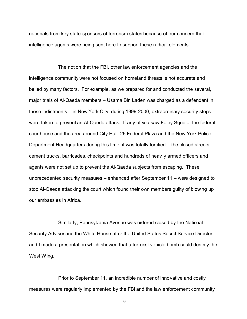nationals from key state-sponsors of terrorism states because of our concern that intelligence agents were being sent here to support these radical elements.

The notion that the FBI, other law enforcement agencies and the intelligence community were not focused on homeland threats is not accurate and belied by many factors. For example, as we prepared for and conducted the several, major trials of Al-Qaeda members – Usama Bin Laden was charged as a defendant in those indictments – in New York City, during 1999-2000, extraordinary security steps were taken to prevent an Al-Qaeda attack. If any of you saw Foley Square, the federal courthouse and the area around City Hall, 26 Federal Plaza and the New York Police Department Headquarters during this time, it was totally fortified. The closed streets, cement trucks, barricades, checkpoints and hundreds of heavily armed officers and agents were not set up to prevent the Al-Qaeda subjects from escaping. These unprecedented security measures – enhanced after September 11 – were designed to stop Al-Qaeda attacking the court which found their own members guilty of blowing up our embassies in Africa.

Similarly, Pennsylvania Avenue was ordered closed by the National Security Advisor and the White House after the United States Secret Service Director and I made a presentation which showed that a terrorist vehicle bomb could destroy the West Wing.

Prior to September 11, an incredible number of innovative and costly measures were regularly implemented by the FBI and the law enforcement community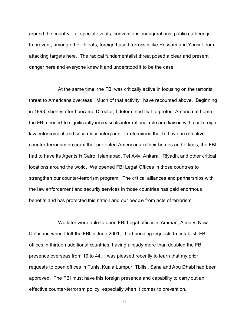around the country – at special events, conventions, inaugurations, public gatherings – to prevent, among other threats, foreign based terrorists like Ressam and Yousef from attacking targets here. The radical fundamentalist threat posed a clear and present danger here and everyone knew it and understood it to be the case.

At the same time, the FBI was critically active in focusing on the terrorist threat to Americans overseas. Much of that activity I have recounted above. Beginning in 1993, shortly after I became Director, I determined that to protect America at home, the FBI needed to significantly increase its international role and liaison with our foreign law enforcement and security counterparts. I determined that to have an effective counter-terrorism program that protected Americans in their homes and offices, the FBI had to have its Agents in Cairo, Islamabad, Tel Aviv, Ankara, Riyadh, and other critical locations around the world. We opened FBI Legat Offices in those countries to strengthen our counter-terrorism program. The critical alliances and partnerships with the law enforcement and security services in those countries has paid enormous benefits and has protected this nation and our people from acts of terrorism.

We later were able to open FBI Legat offices in Amman, Almaty, New Delhi and when I left the FBI in June 2001, I had pending requests to establish FBI offices in thirteen additional countries, having already more than doubled the FBI presence overseas from 19 to 44. I was pleased recently to learn that my prior requests to open offices in Tunis, Kuala Lumpur, Tbilisi, Sana and Abu Dhabi had been approved. The FBI must have this foreign presence and capability to carry out an effective counter-terrorism policy, especially when it comes to prevention.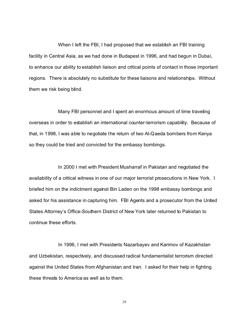When I left the FBI, I had proposed that we establish an FBI training facility in Central Asia, as we had done in Budapest in 1996, and had begun in Dubai, to enhance our ability to establish liaison and critical points of contact in those important regions. There is absolutely no substitute for these liaisons and relationships. Without them we risk being blind.

Many FBI personnel and I spent an enormous amount of time traveling overseas in order to establish an international counter-terrorism capability. Because of that, in 1998, I was able to negotiate the return of two Al-Qaeda bombers from Kenya so they could be tried and convicted for the embassy bombings.

In 2000 I met with President Musharraf in Pakistan and negotiated the availability of a critical witness in one of our major terrorist prosecutions in New York. I briefed him on the indictment against Bin Laden on the 1998 embassy bombings and asked for his assistance in capturing him. FBI Agents and a prosecutor from the United States Attorney's Office-Southern District of New York later returned to Pakistan to continue these efforts.

In 1996, I met with Presidents Nazarbayev and Karimov of Kazakhstan and Uzbekistan, respectively, and discussed radical fundamentalist terrorism directed against the United States from Afghanistan and Iran. I asked for their help in fighting these threats to America as well as to them.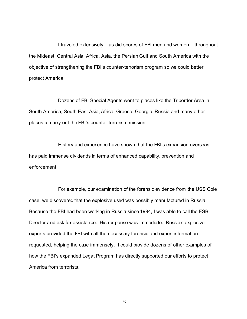I traveled extensively – as did scores of FBI men and women – throughout the Mideast, Central Asia, Africa, Asia, the Persian Gulf and South America with the objective of strengthening the FBI's counter-terrorism program so we could better protect America.

Dozens of FBI Special Agents went to places like the Triborder Area in South America, South East Asia, Africa, Greece, Georgia, Russia and many other places to carry out the FBI's counter-terrorism mission.

History and experience have shown that the FBI's expansion overseas has paid immense dividends in terms of enhanced capability, prevention and enforcement.

For example, our examination of the forensic evidence from the USS Cole case, we discovered that the explosive used was possibly manufactured in Russia. Because the FBI had been working in Russia since 1994, I was able to call the FSB Director and ask for assistance. His response was immediate. Russian explosive experts provided the FBI with all the necessary forensic and expert information requested, helping the case immensely. I could provide dozens of other examples of how the FBI's expanded Legat Program has directly supported our efforts to protect America from terrorists.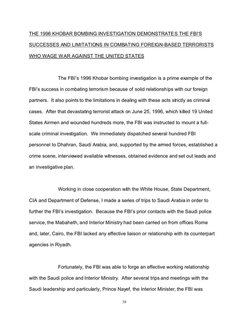# THE 1996 KHOBAR BOMBING INVESTIGATION DEMONSTRATES THE FBI'S SUCCESSES AND LIMITATIONS IN COMBATING FOREIGN-BASED TERRORISTS WHO WAGE WAR AGAINST THE UNITED STATES

The FBI's 1996 Khobar bombing investigation is a prime example of the FBI's success in combating terrorism because of solid relationships with our foreign partners. It also points to the limitations in dealing with these acts strictly as criminal cases. After that devastating terrorist attack on June 25, 1996, which killed 19 United States Airmen and wounded hundreds more, the FBI was instructed to mount a fullscale criminal investigation. We immediately dispatched several hundred FBI personnel to Dhahran, Saudi Arabia, and, supported by the armed forces, established a crime scene, interviewed available witnesses, obtained evidence and set out leads and an investigative plan.

Working in close cooperation with the White House, State Department, CIA and Department of Defense, I made a series of trips to Saudi Arabia in order to further the FBI's investigation. Because the FBI's prior contacts with the Saudi police service, the Mabaheth, and Interior Ministry had been carried on from offices Rome and, later, Cairo, the FBI lacked any effective liaison or relationship with its counterpart agencies in Riyadh.

Fortunately, the FBI was able to forge an effective working relationship with the Saudi police and Interior Ministry. After several trips and meetings with the Saudi leadership and particularly, Prince Nayef, the Interior Minister, the FBI was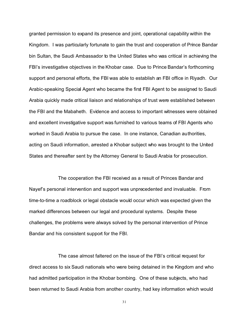granted permission to expand its presence and joint, operational capability within the Kingdom. I was particularly fortunate to gain the trust and cooperation of Prince Bandar bin Sultan, the Saudi Ambassador to the United States who was critical in achieving the FBI's investigative objectives in the Khobar case. Due to Prince Bandar's forthcoming support and personal efforts, the FBI was able to establish an FBI office in Riyadh. Our Arabic-speaking Special Agent who became the first FBI Agent to be assigned to Saudi Arabia quickly made critical liaison and relationships of trust were established between the FBI and the Mabaheth. Evidence and access to important witnesses were obtained and excellent investigative support was furnished to various teams of FBI Agents who worked in Saudi Arabia to pursue the case. In one instance, Canadian authorities, acting on Saudi information, arrested a Khobar subject who was brought to the United States and thereafter sent by the Attorney General to Saudi Arabia for prosecution.

The cooperation the FBI received as a result of Princes Bandar and Nayef's personal intervention and support was unprecedented and invaluable. From time-to-time a roadblock or legal obstacle would occur which was expected given the marked differences between our legal and procedural systems. Despite these challenges, the problems were always solved by the personal intervention of Prince Bandar and his consistent support for the FBI.

The case almost faltered on the issue of the FBI's critical request for direct access to six Saudi nationals who were being detained in the Kingdom and who had admitted participation in the Khobar bombing. One of these subjects, who had been returned to Saudi Arabia from another country, had key information which would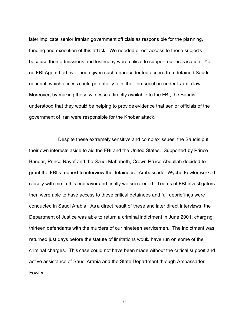later implicate senior Iranian government officials as responsible for the planning, funding and execution of this attack. We needed direct access to these subjects because their admissions and testimony were critical to support our prosecution. Yet no FBI Agent had ever been given such unprecedented access to a detained Saudi national, which access could potentially taint their prosecution under Islamic law. Moreover, by making these witnesses directly available to the FBI, the Saudis understood that they would be helping to provide evidence that senior officials of the government of Iran were responsible for the Khobar attack.

Despite these extremely sensitive and complex issues, the Saudis put their own interests aside to aid the FBI and the United States. Supported by Prince Bandar, Prince Nayef and the Saudi Mabaheth, Crown Prince Abdullah decided to grant the FBI's request to interview the detainees. Ambassador Wyche Fowler worked closely with me in this endeavor and finally we succeeded. Teams of FBI investigators then were able to have access to these critical detainees and full debriefings were conducted in Saudi Arabia. As a direct result of these and later direct interviews, the Department of Justice was able to return a criminal indictment in June 2001, charging thirteen defendants with the murders of our nineteen servicemen. The indictment was returned just days before the statute of limitations would have run on some of the criminal charges. This case could not have been made without the critical support and active assistance of Saudi Arabia and the State Department through Ambassador Fowler.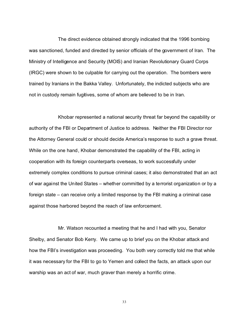The direct evidence obtained strongly indicated that the 1996 bombing was sanctioned, funded and directed by senior officials of the government of Iran. The Ministry of Intelligence and Security (MOIS) and Iranian Revolutionary Guard Corps (IRGC) were shown to be culpable for carrying out the operation. The bombers were trained by Iranians in the Bakka Valley. Unfortunately, the indicted subjects who are not in custody remain fugitives, some of whom are believed to be in Iran.

Khobar represented a national security threat far beyond the capability or authority of the FBI or Department of Justice to address. Neither the FBI Director nor the Attorney General could or should decide America's response to such a grave threat. While on the one hand, Khobar demonstrated the capability of the FBI, acting in cooperation with its foreign counterparts overseas, to work successfully under extremely complex conditions to pursue criminal cases; it also demonstrated that an act of war against the United States – whether committed by a terrorist organization or by a foreign state – can receive only a limited response by the FBI making a criminal case against those harbored beyond the reach of law enforcement.

Mr. Watson recounted a meeting that he and I had with you, Senator Shelby, and Senator Bob Kerry. We came up to brief you on the Khobar attack and how the FBI's investigation was proceeding. You both very correctly told me that while it was necessary for the FBI to go to Yemen and collect the facts, an attack upon our warship was an act of war, much graver than merely a horrific crime.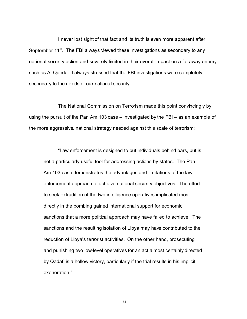I never lost sight of that fact and its truth is even more apparent after September 11<sup>th</sup>. The FBI always viewed these investigations as secondary to any national security action and severely limited in their overall impact on a far away enemy such as Al-Qaeda. I always stressed that the FBI investigations were completely secondary to the needs of our national security.

The National Commission on Terrorism made this point convincingly by using the pursuit of the Pan Am 103 case – investigated by the FBI – as an example of the more aggressive, national strategy needed against this scale of terrorism:

"Law enforcement is designed to put individuals behind bars, but is not a particularly useful tool for addressing actions by states. The Pan Am 103 case demonstrates the advantages and limitations of the law enforcement approach to achieve national security objectives. The effort to seek extradition of the two intelligence operatives implicated most directly in the bombing gained international support for economic sanctions that a more political approach may have failed to achieve. The sanctions and the resulting isolation of Libya may have contributed to the reduction of Libya's terrorist activities. On the other hand, prosecuting and punishing two low-level operatives for an act almost certainly directed by Qadafi is a hollow victory, particularly if the trial results in his implicit exoneration."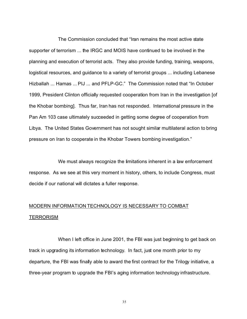The Commission concluded that "Iran remains the most active state supporter of terrorism ... the IRGC and MOIS have continued to be involved in the planning and execution of terrorist acts. They also provide funding, training, weapons, logistical resources, and guidance to a variety of terrorist groups ... including Lebanese Hizballah ... Hamas ... PIJ ... and PFLP-GC." The Commission noted that "In October 1999, President Clinton officially requested cooperation from Iran in the investigation [of the Khobar bombing]. Thus far, Iran has not responded. International pressure in the Pan Am 103 case ultimately succeeded in getting some degree of cooperation from Libya. The United States Government has not sought similar multilateral action to bring pressure on Iran to cooperate in the Khobar Towers bombing investigation."

We must always recognize the limitations inherent in a law enforcement response. As we see at this very moment in history, others, to include Congress, must decide if our national will dictates a fuller response.

### MODERN INFORMATION TECHNOLOGY IS NECESSARY TO COMBAT **TERRORISM**

When I left office in June 2001, the FBI was just beginning to get back on track in upgrading its information technology. In fact, just one month prior to my departure, the FBI was finally able to award the first contract for the Trilogy initiative, a three-year program to upgrade the FBI's aging information technology infrastructure.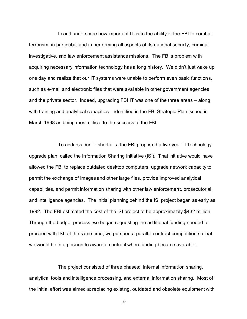I can't underscore how important IT is to the ability of the FBI to combat terrorism, in particular, and in performing all aspects of its national security, criminal investigative, and law enforcement assistance missions. The FBI's problem with acquiring necessary information technology has a long history. We didn't just wake up one day and realize that our IT systems were unable to perform even basic functions, such as e-mail and electronic files that were available in other government agencies and the private sector. Indeed, upgrading FBI IT was one of the three areas – along with training and analytical capacities – identified in the FBI Strategic Plan issued in March 1998 as being most critical to the success of the FBI.

To address our IT shortfalls, the FBI proposed a five-year IT technology upgrade plan, called the Information Sharing Initiative (ISI). That initiative would have allowed the FBI to replace outdated desktop computers, upgrade network capacity to permit the exchange of images and other large files, provide improved analytical capabilities, and permit information sharing with other law enforcement, prosecutorial, and intelligence agencies. The initial planning behind the ISI project began as early as 1992. The FBI estimated the cost of the ISI project to be approximately \$432 million. Through the budget process, we began requesting the additional funding needed to proceed with ISI; at the same time, we pursued a parallel contract competition so that we would be in a position to award a contract when funding became available.

The project consisted of three phases: internal information sharing, analytical tools and intelligence processing, and external information sharing. Most of the initial effort was aimed at replacing existing, outdated and obsolete equipment with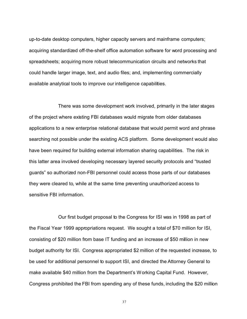up-to-date desktop computers, higher capacity servers and mainframe computers; acquiring standardized off-the-shelf office automation software for word processing and spreadsheets; acquiring more robust telecommunication circuits and networks that could handle larger image, text, and audio files; and, implementing commercially available analytical tools to improve our intelligence capabilities.

There was some development work involved, primarily in the later stages of the project where existing FBI databases would migrate from older databases applications to a new enterprise relational database that would permit word and phrase searching not possible under the existing ACS platform. Some development would also have been required for building external information sharing capabilities. The risk in this latter area involved developing necessary layered security protocols and "trusted guards" so authorized non-FBI personnel could access those parts of our databases they were cleared to, while at the same time preventing unauthorized access to sensitive FBI information.

Our first budget proposal to the Congress for ISI was in 1998 as part of the Fiscal Year 1999 appropriations request. We sought a total of \$70 million for ISI, consisting of \$20 million from base IT funding and an increase of \$50 million in new budget authority for ISI. Congress appropriated \$2 million of the requested increase, to be used for additional personnel to support ISI, and directed the Attorney General to make available \$40 million from the Department's Working Capital Fund. However, Congress prohibited the FBI from spending any of these funds, including the \$20 million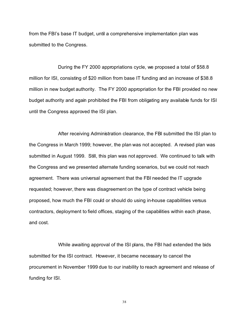from the FBI's base IT budget, until a comprehensive implementation plan was submitted to the Congress.

During the FY 2000 appropriations cycle, we proposed a total of \$58.8 million for ISI, consisting of \$20 million from base IT funding and an increase of \$38.8 million in new budget authority. The FY 2000 appropriation for the FBI provided no new budget authority and again prohibited the FBI from obligating any available funds for ISI until the Congress approved the ISI plan.

After receiving Administration clearance, the FBI submitted the ISI plan to the Congress in March 1999; however, the plan was not accepted. A revised plan was submitted in August 1999. Still, this plan was not approved. We continued to talk with the Congress and we presented alternate funding scenarios, but we could not reach agreement. There was universal agreement that the FBI needed the IT upgrade requested; however, there was disagreement on the type of contract vehicle being proposed, how much the FBI could or should do using in-house capabilities versus contractors, deployment to field offices, staging of the capabilities within each phase, and cost.

While awaiting approval of the ISI plans, the FBI had extended the bids submitted for the ISI contract. However, it became necessary to cancel the procurement in November 1999 due to our inability to reach agreement and release of funding for ISI.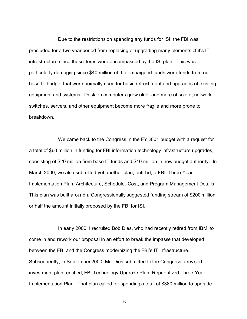Due to the restrictions on spending any funds for ISI, the FBI was precluded for a two year period from replacing or upgrading many elements of it's IT infrastructure since these items were encompassed by the ISI plan. This was particularly damaging since \$40 million of the embargoed funds were funds from our base IT budget that were normally used for basic refreshment and upgrades of existing equipment and systems. Desktop computers grew older and more obsolete; network switches, servers, and other equipment become more fragile and more prone to breakdown.

We came back to the Congress in the FY 2001 budget with a request for a total of \$60 million in funding for FBI information technology infrastructure upgrades, consisting of \$20 million from base IT funds and \$40 million in new budget authority. In March 2000, we also submitted yet another plan, entitled, e-FBI: Three Year Implementation Plan, Architecture, Schedule, Cost, and Program Management Details. This plan was built around a Congressionally suggested funding stream of \$200 million, or half the amount initially proposed by the FBI for ISI.

In early 2000, I recruited Bob Dies, who had recently retired from IBM, to come in and rework our proposal in an effort to break the impasse that developed between the FBI and the Congress modernizing the FBI's IT infrastructure. Subsequently, in September 2000, Mr. Dies submitted to the Congress a revised investment plan, entitled, FBI Technology Upgrade Plan, Reprioritized Three-Year Implementation Plan. That plan called for spending a total of \$380 million to upgrade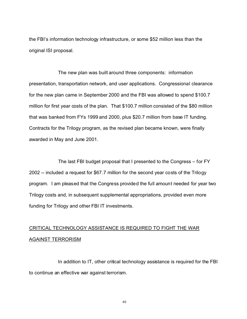the FBI's information technology infrastructure, or some \$52 million less than the original ISI proposal.

The new plan was built around three components: information presentation, transportation network, and user applications. Congressional clearance for the new plan came in September 2000 and the FBI was allowed to spend \$100.7 million for first year costs of the plan. That \$100.7 million consisted of the \$80 million that was banked from FYs 1999 and 2000, plus \$20.7 million from base IT funding. Contracts for the Trilogy program, as the revised plan became known, were finally awarded in May and June 2001.

The last FBI budget proposal that I presented to the Congress – for FY 2002 -- included a request for \$67.7 million for the second year costs of the Trilogy program. I am pleased that the Congress provided the full amount needed for year two Trilogy costs and, in subsequent supplemental appropriations, provided even more funding for Trilogy and other FBI IT investments.

### CRITICAL TECHNOLOGY ASSISTANCE IS REQUIRED TO FIGHT THE WAR AGAINST TERRORISM

In addition to IT, other critical technology assistance is required for the FBI to continue an effective war against terrorism.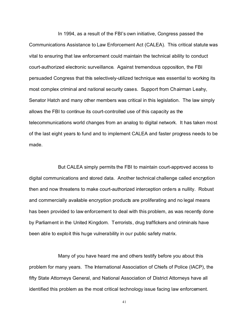In 1994, as a result of the FBI's own initiative, Congress passed the Communications Assistance to Law Enforcement Act (CALEA). This critical statute was vital to ensuring that law enforcement could maintain the technical ability to conduct court-authorized electronic surveillance. Against tremendous opposition, the FBI persuaded Congress that this selectively-utilized technique was essential to working its most complex criminal and national security cases. Support from Chairman Leahy, Senator Hatch and many other members was critical in this legislation. The law simply allows the FBI to continue its court-controlled use of this capacity as the telecommunications world changes from an analog to digital network. It has taken most of the last eight years to fund and to implement CALEA and faster progress needs to be made.

But CALEA simply permits the FBI to maintain court-approved access to digital communications and stored data. Another technical challenge called encryption then and now threatens to make court-authorized interception orders a nullity. Robust and commercially available encryption products are proliferating and no legal means has been provided to law enforcement to deal with this problem, as was recently done by Parliament in the United Kingdom. Terrorists, drug traffickers and criminals have been able to exploit this huge vulnerability in our public safety matrix.

Many of you have heard me and others testify before you about this problem for many years. The International Association of Chiefs of Police (IACP), the fifty State Attorneys General, and National Association of District Attorneys have all identified this problem as the most critical technology issue facing law enforcement.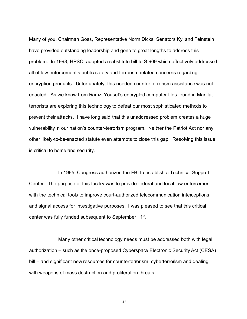Many of you, Chairman Goss, Representative Norm Dicks, Senators Kyl and Feinstein have provided outstanding leadership and gone to great lengths to address this problem. In 1998, HPSCI adopted a substitute bill to S.909 which effectively addressed all of law enforcement's public safety and terrorism-related concerns regarding encryption products. Unfortunately, this needed counter-terrorism assistance was not enacted. As we know from Ramzi Yousef's encrypted computer files found in Manila, terrorists are exploring this technology to defeat our most sophisticated methods to prevent their attacks. I have long said that this unaddressed problem creates a huge vulnerability in our nation's counter-terrorism program. Neither the Patriot Act nor any other likely-to-be-enacted statute even attempts to close this gap. Resolving this issue is critical to homeland security.

In 1995, Congress authorized the FBI to establish a Technical Support Center. The purpose of this facility was to provide federal and local law enforcement with the technical tools to improve court-authorized telecommunication interceptions and signal access for investigative purposes. I was pleased to see that this critical center was fully funded subsequent to September 11<sup>th</sup>.

Many other critical technology needs must be addressed both with legal authorization – such as the once-proposed Cyberspace Electronic Security Act (CESA) bill – and significant new resources for counterterrorism, cyberterrorism and dealing with weapons of mass destruction and proliferation threats.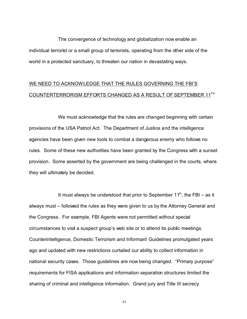The convergence of technology and globalization now enable an individual terrorist or a small group of terrorists, operating from the other side of the world in a protected sanctuary, to threaten our nation in devastating ways.

#### WE NEED TO ACKNOWLEDGE THAT THE RULES GOVERNING THE FBI'S COUNTERTERRORISM EFFORTS CHANGED AS A RESULT OF SEPTEMBER 11TH

We must acknowledge that the rules are changed beginning with certain provisions of the USA Patriot Act. The Department of Justice and the intelligence agencies have been given new tools to combat a dangerous enemy who follows no rules. Some of these new authorities have been granted by the Congress with a sunset provision. Some asserted by the government are being challenged in the courts, where they will ultimately be decided.

It must always be understood that prior to September  $11<sup>th</sup>$ , the FBI – as it always must – followed the rules as they were given to us by the Attorney General and the Congress. For example, FBI Agents were not permitted without special circumstances to visit a suspect group's web site or to attend its public meetings. Counterintelligence, Domestic Terrorism and Informant Guidelines promulgated years ago and updated with new restrictions curtailed our ability to collect information in national security cases. Those guidelines are now being changed. "Primary purpose" requirements for FISA applications and information separation structures limited the sharing of criminal and intelligence information. Grand jury and Title III secrecy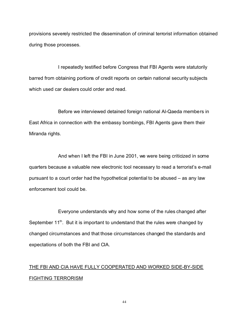provisions severely restricted the dissemination of criminal terrorist information obtained during those processes.

I repeatedly testified before Congress that FBI Agents were statutorily barred from obtaining portions of credit reports on certain national security subjects which used car dealers could order and read.

Before we interviewed detained foreign national Al-Qaeda members in East Africa in connection with the embassy bombings, FBI Agents gave them their Miranda rights.

And when I left the FBI in June 2001, we were being criticized in some quarters because a valuable new electronic tool necessary to read a terrorist's e-mail pursuant to a court order had the hypothetical potential to be abused – as any law enforcement tool could be.

Everyone understands why and how some of the rules changed after September  $11<sup>th</sup>$ . But it is important to understand that the rules were changed by changed circumstances and that those circumstances changed the standards and expectations of both the FBI and CIA.

### THE FBI AND CIA HAVE FULLY COOPERATED AND WORKED SIDE-BY-SIDE FIGHTING TERRORISM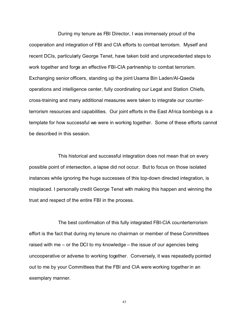During my tenure as FBI Director, I was immensely proud of the cooperation and integration of FBI and CIA efforts to combat terrorism. Myself and recent DCIs, particularly George Tenet, have taken bold and unprecedented steps to work together and forge an effective FBI-CIA partnership to combat terrorism. Exchanging senior officers, standing up the joint Usama Bin Laden/Al-Qaeda operations and intelligence center, fully coordinating our Legat and Station Chiefs, cross-training and many additional measures were taken to integrate our counterterrorism resources and capabilities. Our joint efforts in the East Africa bombings is a template for how successful we were in working together. Some of these efforts cannot be described in this session.

This historical and successful integration does not mean that on every possible point of intersection, a lapse did not occur. But to focus on those isolated instances while ignoring the huge successes of this top-down directed integration, is misplaced. I personally credit George Tenet with making this happen and winning the trust and respect of the entire FBI in the process.

The best confirmation of this fully integrated FBI-CIA counterterrorism effort is the fact that during my tenure no chairman or member of these Committees raised with me – or the DCI to my knowledge – the issue of our agencies being uncooperative or adverse to working together. Conversely, it was repeatedly pointed out to me by your Committees that the FBI and CIA were working together in an exemplary manner.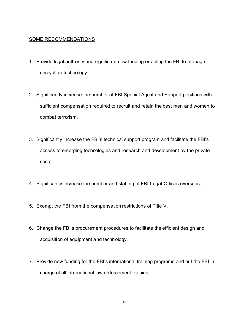#### SOME RECOMMENDATIONS

- 1. Provide legal authority and significant new funding enabling the FBI to manage encryption technology.
- 2. Significantly increase the number of FBI Special Agent and Support positions with sufficient compensation required to recruit and retain the best men and women to combat terrorism.
- 3. Significantly increase the FBI's technical support program and facilitate the FBI's access to emerging technologies and research and development by the private sector.
- 4. Significantly increase the number and staffing of FBI Legat Offices overseas.
- 5. Exempt the FBI from the compensation restrictions of Title V.
- 6. Change the FBI's procurement procedures to facilitate the efficient design and acquisition of equipment and technology.
- 7. Provide new funding for the FBI's international training programs and put the FBI in charge of all international law enforcement training.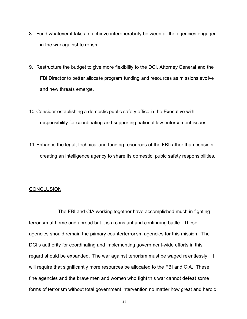- 8. Fund whatever it takes to achieve interoperability between all the agencies engaged in the war against terrorism.
- 9. Restructure the budget to give more flexibility to the DCI, Attorney General and the FBI Director to better allocate program funding and resources as missions evolve and new threats emerge.
- 10.Consider establishing a domestic public safety office in the Executive with responsibility for coordinating and supporting national law enforcement issues.
- 11.Enhance the legal, technical and funding resources of the FBI rather than consider creating an intelligence agency to share its domestic, pubic safety responsibilities.

#### **CONCLUSION**

The FBI and CIA working together have accomplished much in fighting terrorism at home and abroad but it is a constant and continuing battle. These agencies should remain the primary counterterrorism agencies for this mission. The DCI's authority for coordinating and implementing government-wide efforts in this regard should be expanded. The war against terrorism must be waged relentlessly. It will require that significantly more resources be allocated to the FBI and CIA. These fine agencies and the brave men and women who fight this war cannot defeat some forms of terrorism without total government intervention no matter how great and heroic